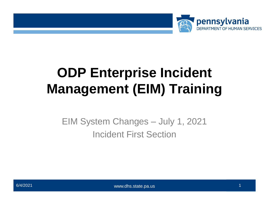

# **ODP Enterprise Incident Management (EIM) Training**

EIM System Changes – July 1, 2021 Incident First Section

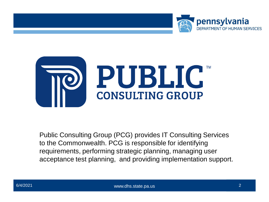



Public Consulting Group (PCG) provides IT Consulting Services to the Commonwealth. PCG is responsible for identifying requirements, performing strategic planning, managing user acceptance test planning, and providing implementation support.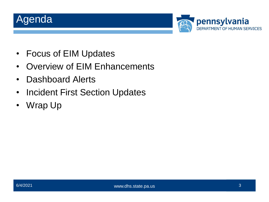## Agenda



- Focus of EIM Updates
- Overview of EIM Enhancements
- Dashboard Alerts
- Incident First Section Updates
- Wrap Up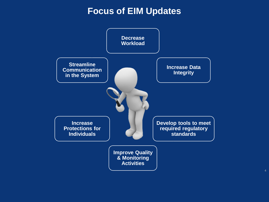#### **Focus of EIM Updates**

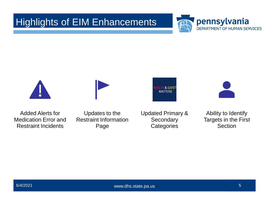#### Highlights of EIM Enhancements











Added Alerts for Medication Error and Restraint Incidents

Updates to the Restraint Information Page

Updated Primary & **Secondary Categories** 

Ability to Identify Targets in the First Section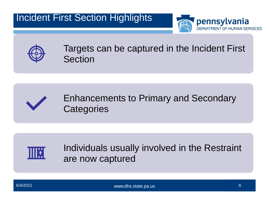



Targets can be captured in the Incident First Section





Individuals usually involved in the Restraint are now captured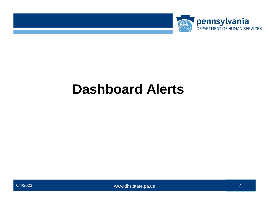

# **Dashboard Alerts**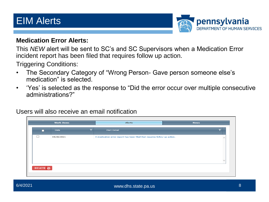#### EIM Alerts



#### **Medication Error Alerts:**

This *NEW* alert will be sent to SC's and SC Supervisors when a Medication Error incident report has been filed that requires follow up action.

Triggering Conditions:

- The Secondary Category of "Wrong Person- Gave person someone else's medication" is selected.
- 'Yes' is selected as the response to "Did the error occur over multiple consecutive administrations?"

Users will also receive an email notification

|          | <b>Work Items</b> | <b>Alerts</b>                                                            | <b>News</b> |
|----------|-------------------|--------------------------------------------------------------------------|-------------|
| п        | Date              | Alert Detail                                                             |             |
| $\Box$   | 04/30/2021        | A medication error report has been filed that requires follow-up action. |             |
|          |                   |                                                                          |             |
|          |                   |                                                                          |             |
|          |                   |                                                                          |             |
|          |                   |                                                                          |             |
| DELETE Ø |                   |                                                                          |             |
|          |                   |                                                                          |             |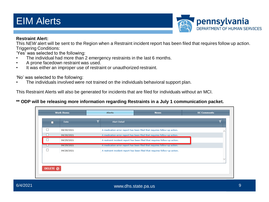### EIM Alerts



#### **Restraint Alert:**

This *NEW* alert will be sent to the Region when a Restraint incident report has been filed that requires follow up action. Triggering Conditions:

'Yes' was selected to the following:

- The individual had more than 2 emergency restraints in the last 6 months.
- A prone facedown restraint was used.
- It was either an improper use of restraint or unauthorized restraint.

'No' was selected to the following:

The individuals involved were not trained on the individuals behavioral support plan.

This Restraint Alerts will also be generated for incidents that are filed for individuals without an MCI.

**\*\* ODP will be releasing more information regarding Restraints in a July 1 communication packet.** 

| □ | <b>Date</b> | Alert Detail |                                                                            |  |
|---|-------------|--------------|----------------------------------------------------------------------------|--|
|   | 04/30/2021  |              | A medication error report has been filed that requires follow-up action.   |  |
|   | 04/30/2021  |              | A medication error report has been filed that requires follow-up action.   |  |
|   | 04/29/2021  |              | A restraint incident report has been filed that requires follow-up action. |  |
|   | 04/29/2021  |              | A medication error report has been filed that requires follow-up action.   |  |
|   | 04/28/2021  |              | A restraint incident report has been filed that requires follow-up action. |  |
|   |             |              |                                                                            |  |
|   |             |              |                                                                            |  |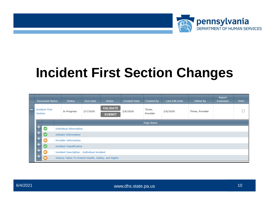

# **Incident First Section Changes**

|         | Document Name         | <b>Status</b>                                       | Due Date | Action                           | <b>Created Date</b> | Created By         | Last Edit Date | <b>Edited By</b> | Report<br>Extension | <b>Print</b> |
|---------|-----------------------|-----------------------------------------------------|----------|----------------------------------|---------------------|--------------------|----------------|------------------|---------------------|--------------|
| Section | <b>Incident First</b> | In Progress                                         | 2/7/2020 | <b>VALIDATE</b><br><b>SUBMIT</b> | 2/6/2020            | Three,<br>Provider | 2/6/2020       | Three, Provider  |                     |              |
|         |                       |                                                     |          |                                  |                     | Page Name          |                |                  |                     |              |
|         | Ø                     | <b>Individual Information</b>                       |          |                                  |                     |                    |                |                  |                     |              |
|         | $\bullet$             | <b>Initiator Information</b>                        |          |                                  |                     |                    |                |                  |                     |              |
|         | $\mathbf 0$           | <b>Provider Information</b>                         |          |                                  |                     |                    |                |                  |                     |              |
|         | $\bullet$             | <b>Incident Classification</b>                      |          |                                  |                     |                    |                |                  |                     |              |
|         | $\mathbf 0$           | <b>Incident Description - Individual Incident</b>   |          |                                  |                     |                    |                |                  |                     |              |
|         | Φ                     | Actions Taken To Protect Health, Safety, and Rights |          |                                  |                     |                    |                |                  |                     |              |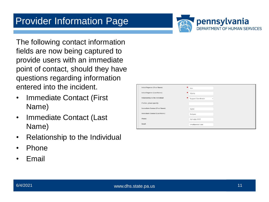

The following contact information fields are now being captured to provide users with an immediate point of contact, should they have questions regarding information entered into the incident.

- Immediate Contact (First Name)
- Immediate Contact (Last Name)
- Relationship to the Individual
- Phone
- Email

| Initial Reporter (First Name):         | Ken                 |
|----------------------------------------|---------------------|
| Initial Reporter (Last Name):          | Adams               |
| Relationship to the individual:        | Support Coordinator |
| If other, please specify:              |                     |
| <b>Immediate Contact (First Name):</b> | Aaron               |
| Immediate Contact (Last Name):         | Rodgers             |
| Phone:                                 | 717-666-7777        |
| Email:                                 | email@email.com     |
|                                        |                     |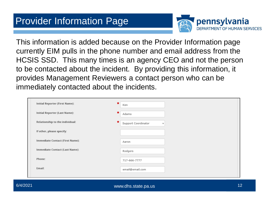

This information is added because on the Provider Information page currently EIM pulls in the phone number and email address from the HCSIS SSD. This many times is an agency CEO and not the person to be contacted about the incident. By providing this information, it provides Management Reviewers a contact person who can be immediately contacted about the incidents.

| <b>Initial Reporter (First Name):</b>  | Ken                                                  |
|----------------------------------------|------------------------------------------------------|
| Initial Reporter (Last Name):          | ×<br>Adams                                           |
| Relationship to the individual:        | ×<br>Support Coordinator<br>$\overline{\phantom{a}}$ |
| If other, please specify:              |                                                      |
| <b>Immediate Contact (First Name):</b> | Aaron                                                |
| Immediate Contact (Last Name):         | Rodgers                                              |
| Phone:                                 | 717-666-7777                                         |
| Email:                                 | email@email.com                                      |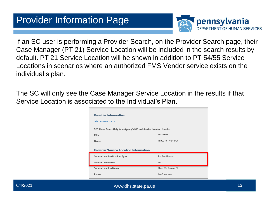

If an SC user is performing a Provider Search, on the Provider Search page, their Case Manager (PT 21) Service Location will be included in the search results by default. PT 21 Service Location will be shown in addition to PT 54/55 Service Locations in scenarios where an authorized FMS Vendor service exists on the individual's plan.

The SC will only see the Case Manager Service Location in the results if that Service Location is associated to the Individual's Plan.

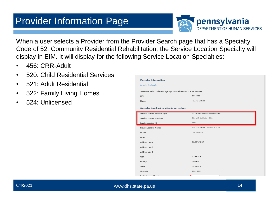

When a user selects a Provider from the Provider Search page that has a Specialty Code of 52. Community Residential Rehabilitation, the Service Location Specialty will display in EIM. It will display for the following Service Location Specialties:

- 456: CRR-Adult
- 520: Child Residential Services
- 521: Adult Residential
- 522: Family Living Homes
- 524: Unlicensed

| <b>Provider Information:</b>                                         |                                          |
|----------------------------------------------------------------------|------------------------------------------|
| <b>Select Provider/Location</b>                                      |                                          |
| SCO Users: Select Only Your Agency's MPI and Service Location Number |                                          |
| MPI:                                                                 | 300465856                                |
| Name:                                                                | <b>HCSIS CHC PHASE 1</b>                 |
| <b>Provider Service Location Information:</b>                        |                                          |
| <b>Service Location Provider Type:</b>                               | 52. Community Residential Rehabilitation |
| <b>Service Location Specialty:</b>                                   | 521. Adult Residential - 6400            |
| <b>Service Location ID:</b>                                          | 0008                                     |
| <b>Service Location Name:</b>                                        | HCSIS CHC PHASE 1 BAS ODP PT52 521       |
| Phone:                                                               | $(444)$ 444-4444                         |
| Email:                                                               |                                          |
| Address Line 1:                                                      | 202 STANWIX ST                           |
| Address Line 2:                                                      |                                          |
| Address Line 3:                                                      |                                          |
| City:                                                                | PITTSBURGH                               |
| County:                                                              | Allegheny                                |
|                                                                      |                                          |
| State:                                                               | Pennsylvania                             |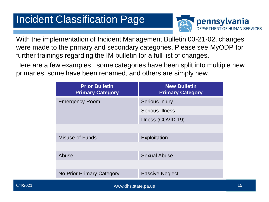## Incident Classification Page



With the implementation of Incident Management Bulletin 00-21-02, changes were made to the primary and secondary categories. Please see MyODP for further trainings regarding the IM bulletin for a full list of changes.

Here are a few examples...some categories have been split into multiple new primaries, some have been renamed, and others are simply new.

| <b>Prior Bulletin</b><br><b>Primary Category</b> | <b>New Bulletin</b><br><b>Primary Category</b> |
|--------------------------------------------------|------------------------------------------------|
| <b>Emergency Room</b>                            | Serious Injury                                 |
|                                                  | <b>Serious Illness</b>                         |
|                                                  | Illness (COVID-19)                             |
|                                                  |                                                |
| Misuse of Funds                                  | Exploitation                                   |
|                                                  |                                                |
| Abuse                                            | <b>Sexual Abuse</b>                            |
|                                                  |                                                |
| No Prior Primary Category                        | <b>Passive Neglect</b>                         |
|                                                  |                                                |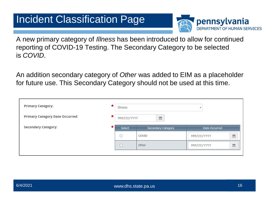## Incident Classification Page



A new primary category of *Illness* has been introduced to allow for continued reporting of COVID-19 Testing. The Secondary Category to be selected is *COVID.*

An addition secondary category of *Other* was added to EIM as a placeholder for future use. This Secondary Category should not be used at this time.

| <b>Primary Category:</b>                    | Illness    |                           | $\overline{\mathbf{v}}$ |   |
|---------------------------------------------|------------|---------------------------|-------------------------|---|
| <b>Primary Category Date Occurred:</b><br>× | MM/DD/YYYY | 雦                         |                         |   |
| <b>Secondary Category:</b>                  | Select     | <b>Secondary Category</b> | Date Occurred           |   |
|                                             |            | COVID                     | MM/DD/YYYY              | 雦 |
|                                             |            | Other                     | MM/DD/YYYY              | 雦 |
|                                             |            |                           |                         |   |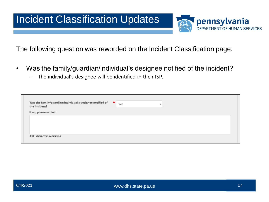

The following question was reworded on the Incident Classification page:

- Was the family/guardian/individual's designee notified of the incident?
	- The individual's designee will be identified in their ISP.

| Was the family/guardian/individual's designee notified of<br>the incident? | ×.<br>Yes<br>$\overline{\phantom{a}}$ |
|----------------------------------------------------------------------------|---------------------------------------|
| If no, please explain:                                                     |                                       |
|                                                                            |                                       |
|                                                                            |                                       |
|                                                                            |                                       |
|                                                                            |                                       |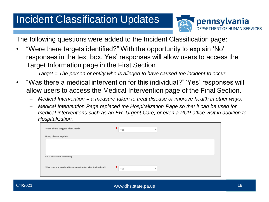## Incident Classification Updates



The following questions were added to the Incident Classification page:

- "Were there targets identified?" With the opportunity to explain 'No' responses in the text box. Yes' responses will allow users to access the Target Information page in the First Section.
	- *Target = The person or entity who is alleged to have caused the incident to occur.*
- "Was there a medical intervention for this individual?" 'Yes' responses will allow users to access the Medical Intervention page of the Final Section.
	- *Medical Intervention = a measure taken to treat disease or improve health in other ways.*
	- *Medical Intervention Page replaced the Hospitalization Page so that it can be used for medical interventions such as an ER, Urgent Care, or even a PCP office visit in addition to Hospitalization.*

| Were there targets identified?                        | Ħ<br>Yes<br>$\overline{\mathbf{v}}$ |
|-------------------------------------------------------|-------------------------------------|
| If no, please explain:                                |                                     |
|                                                       |                                     |
|                                                       |                                     |
| 4000 characters remaining                             |                                     |
|                                                       |                                     |
| Was there a medical intervention for this individual? | ★<br>Yes<br>٠                       |
|                                                       |                                     |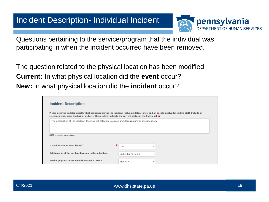#### Incident Description- Individual Incident



Questions pertaining to the service/program that the individual was participating in when the incident occurred have been removed.

The question related to the physical location has been modified. **Current:** In what physical location did the **event** occur? **New:** In what physical location did the **incident** occur?

| <b>Incident Description</b>                                                                                          |                                                                                                                                                   |
|----------------------------------------------------------------------------------------------------------------------|---------------------------------------------------------------------------------------------------------------------------------------------------|
| relevant details prior to, during, and after the incident. Indicate the current status of the Individual: $\bigstar$ | Please describe in detail exactly what happened during the incident, including dates, times, and all people involved including staff. Include all |
|                                                                                                                      |                                                                                                                                                   |
| The description of the incident, the incident category is abuse and does require an investigation.                   |                                                                                                                                                   |
|                                                                                                                      |                                                                                                                                                   |
|                                                                                                                      |                                                                                                                                                   |
| 3901 characters remaining                                                                                            |                                                                                                                                                   |
|                                                                                                                      |                                                                                                                                                   |
|                                                                                                                      |                                                                                                                                                   |
| Is the incident location known?                                                                                      | Yes                                                                                                                                               |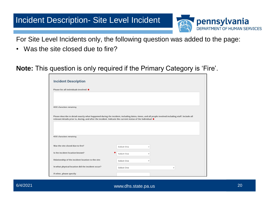#### Incident Description- Site Level Incident



For Site Level Incidents only, the following question was added to the page:

• Was the site closed due to fire?

**Note:** This question is only required if the Primary Category is 'Fire'.

| <b>Incident Description</b>                                                                             |                                                                                                                                                                                                                                                                           |
|---------------------------------------------------------------------------------------------------------|---------------------------------------------------------------------------------------------------------------------------------------------------------------------------------------------------------------------------------------------------------------------------|
| Please list all individuals involved: $\bigstar$                                                        |                                                                                                                                                                                                                                                                           |
|                                                                                                         |                                                                                                                                                                                                                                                                           |
|                                                                                                         |                                                                                                                                                                                                                                                                           |
| 4000 characters remaining                                                                               |                                                                                                                                                                                                                                                                           |
|                                                                                                         |                                                                                                                                                                                                                                                                           |
|                                                                                                         |                                                                                                                                                                                                                                                                           |
|                                                                                                         | Please describe in detail exactly what happened during the incident, including dates, times, and all people involved including staff. Include all<br>relevant details prior to, during, and after the incident. Indicate the current status of the Individual: $\bigstar$ |
|                                                                                                         |                                                                                                                                                                                                                                                                           |
|                                                                                                         |                                                                                                                                                                                                                                                                           |
|                                                                                                         |                                                                                                                                                                                                                                                                           |
| 4000 characters remaining                                                                               |                                                                                                                                                                                                                                                                           |
|                                                                                                         |                                                                                                                                                                                                                                                                           |
| Was the site closed due to fire?                                                                        | Select One<br>v                                                                                                                                                                                                                                                           |
| Is the incident location known?                                                                         | Select One<br>v                                                                                                                                                                                                                                                           |
|                                                                                                         |                                                                                                                                                                                                                                                                           |
| Relationship of the incident location to the site:<br>In what physical location did the incident occur? | Select One<br>v                                                                                                                                                                                                                                                           |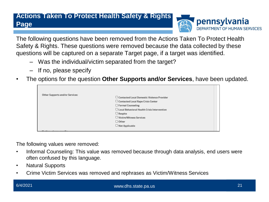#### **Actions Taken To Protect Health Safety & Rights Page**



The following questions have been removed from the Actions Taken To Protect Health Safety & Rights. These questions were removed because the data collected by these questions will be captured on a separate Target page, if a target was identified.

- Was the individual/victim separated from the target?
- If no, please specify
- The options for the question **Other Supports and/or Services**, have been updated.

| Other Supports and/or Services: |                                                    |  |
|---------------------------------|----------------------------------------------------|--|
|                                 | □ Contacted Local Domestic Violence Provider       |  |
|                                 | $\Box$ Contacted Local Rape Crisis Center          |  |
|                                 | □ Formal Counseling                                |  |
|                                 | $\Box$ Local Behavioral Health Crisis Intervention |  |
|                                 | $\Box$ Respite                                     |  |
|                                 | □ Victim/Witness Services                          |  |
|                                 | $\Box$ Other                                       |  |
|                                 | $\Box$ Not Applicable                              |  |
|                                 |                                                    |  |

The following values were removed:

- Informal Counseling: This value was removed because through data analysis, end users were often confused by this language.
- Natural Supports
- Crime Victim Services was removed and rephrases as Victim/Witness Services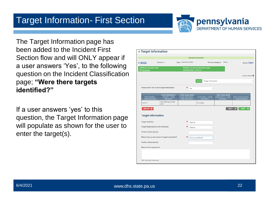#### Target Information- First Section



The Target Information page has been added to the Incident First Section flow and will ONLY appear if a user answers 'Yes', to the following question on the Incident Classification page; **"Were there targets identified?"** 

If a user answers 'yes' to this question, the Target Information page will populate as shown for the user to enter the target(s).

|                                                  |                                                                     |                                                                                  | <b>Operation Successful</b>                                        |                                                                     |                                                  |  |
|--------------------------------------------------|---------------------------------------------------------------------|----------------------------------------------------------------------------------|--------------------------------------------------------------------|---------------------------------------------------------------------|--------------------------------------------------|--|
| Version: 8<br>ID: 88126                          |                                                                     | Type: Individual Incident                                                        | Abuse<br><b>Primary Category:</b>                                  |                                                                     | Status: Open                                     |  |
| Individual: PCG-EIMMR, MIKE<br>MCI: 927847067    |                                                                     |                                                                                  | Provider: PCG ODP EIM PROVIDER THREE<br>Discovery Date: 11/06/2019 |                                                                     |                                                  |  |
|                                                  |                                                                     |                                                                                  |                                                                    |                                                                     | <b>Expand Details</b>                            |  |
|                                                  |                                                                     |                                                                                  | <b>Target Information</b><br>Go To                                 |                                                                     |                                                  |  |
|                                                  | Please select 'Yes' to add Target Information:                      | Yes                                                                              |                                                                    |                                                                     |                                                  |  |
| Target Identifier -<br><b>Target Information</b> | <b>Target Relationship to</b><br>Individual - Target<br>Information | If other, please specify<br>(Target Relationship) -<br><b>Target Information</b> | <b>Current Status - Target</b><br>Information                      | If other, please specify<br>(Target Status) - Target<br>Information | Nature of the separation<br>- Target Information |  |
| Aaron R                                          | Non-reporting provider<br>staff                                     |                                                                                  | No Change                                                          |                                                                     |                                                  |  |
| DELETE <sup>O</sup>                              | <b>Target Information</b>                                           |                                                                                  |                                                                    | <b>EDIT</b>                                                         | <b>ADD</b><br>٠                                  |  |
| <b>Target Identifier:</b>                        |                                                                     | Dave M                                                                           |                                                                    |                                                                     |                                                  |  |
|                                                  | Target Relationship to the Individual:                              | Relative                                                                         |                                                                    |                                                                     |                                                  |  |
| If other, please specify:                        |                                                                     |                                                                                  |                                                                    |                                                                     |                                                  |  |
|                                                  | What is the current status if target is identified?                 |                                                                                  | Driving prohibited                                                 |                                                                     |                                                  |  |
|                                                  |                                                                     |                                                                                  |                                                                    |                                                                     |                                                  |  |
| If other, please specify:                        |                                                                     |                                                                                  |                                                                    |                                                                     |                                                  |  |
| Nature of the separation:                        |                                                                     |                                                                                  |                                                                    |                                                                     |                                                  |  |
|                                                  |                                                                     |                                                                                  |                                                                    |                                                                     |                                                  |  |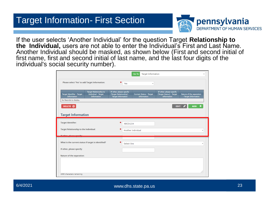#### Target Information- First Section



If the user selects 'Another Individual' for the question Target **Relationship to the Individual,** users are not able to enter the Individual's First and Last Name. Another Individual should be masked, as shown below (First and second initial of first name, first and second initial of last name, and the last four digits of the individual's social security number).

|                                                     |                                                                                   |                                                                                  |                 | <b>Target Information</b><br>Go To                   |                                                                            |                                                  |
|-----------------------------------------------------|-----------------------------------------------------------------------------------|----------------------------------------------------------------------------------|-----------------|------------------------------------------------------|----------------------------------------------------------------------------|--------------------------------------------------|
| Please select 'Yes' to add Target Information:      |                                                                                   |                                                                                  | Yes             | $\overline{\phantom{a}}$                             |                                                                            |                                                  |
| Target Identifier - Target<br><b>Information</b>    | <b>Target Relationship to</b><br><b>Individual - Target</b><br><b>Information</b> | If other, please specify<br>(Target Relationship) -<br><b>Target Information</b> |                 | <b>Current Status - Target</b><br><b>Information</b> | If other, please specify<br>(Target Status) - Target<br><b>Information</b> | Nature of the separation<br>- Target Information |
| No Records to display.                              |                                                                                   |                                                                                  |                 |                                                      |                                                                            |                                                  |
| DELETE <sup>O</sup>                                 |                                                                                   |                                                                                  |                 |                                                      | <b>EDIT</b>                                                                | <b>ADD</b>                                       |
|                                                     |                                                                                   |                                                                                  |                 |                                                      |                                                                            |                                                  |
| <b>Target Information</b>                           |                                                                                   |                                                                                  |                 |                                                      |                                                                            |                                                  |
| <b>Target Identifier:</b>                           |                                                                                   |                                                                                  | <b>ABCD1234</b> |                                                      |                                                                            |                                                  |
| <b>Target Relationship to the Individual:</b>       |                                                                                   |                                                                                  |                 | Another Individual                                   |                                                                            | v                                                |
| If other please specify                             |                                                                                   |                                                                                  |                 |                                                      |                                                                            |                                                  |
| What is the current status if target is identified? |                                                                                   |                                                                                  | Select One      |                                                      |                                                                            | v                                                |
| If other, please specify:                           |                                                                                   |                                                                                  |                 |                                                      |                                                                            |                                                  |
| Nature of the separation:                           |                                                                                   |                                                                                  |                 |                                                      |                                                                            |                                                  |
|                                                     |                                                                                   |                                                                                  |                 |                                                      |                                                                            |                                                  |
|                                                     |                                                                                   |                                                                                  |                 |                                                      |                                                                            |                                                  |
| 1000 characters remaining                           |                                                                                   |                                                                                  |                 |                                                      |                                                                            |                                                  |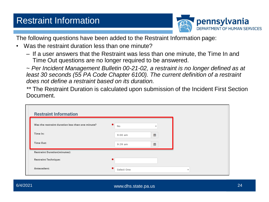#### Restraint Information



The following questions have been added to the Restraint Information page:

- Was the restraint duration less than one minute?
	- If a user answers that the Restraint was less than one minute, the Time In and Time Out questions are no longer required to be answered.

~ *Per Incident Management Bulletin 00-21-02, a restraint is no longer defined as at least 30 seconds (55 PA Code Chapter 6100). The current definition of a restraint does not define a restraint based on its duration.*

*\*\** The Restraint Duration is calculated upon submission of the Incident First Section Document.

| <b>Restraint Information</b>                     |                                     |                          |
|--------------------------------------------------|-------------------------------------|--------------------------|
| Was the restraint duration less than one minute? | ×<br>No<br>$\overline{\phantom{a}}$ |                          |
| Time In:                                         | 篇<br>$9:00$ am                      |                          |
| Time Out:                                        | 鱛<br>9:39 am                        |                          |
| <b>Restraint Duration(minutes):</b>              |                                     |                          |
| <b>Restraint Technique:</b>                      |                                     |                          |
| Antecedent:                                      | Select One                          | $\overline{\phantom{a}}$ |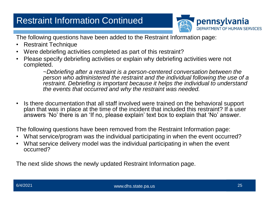#### Restraint Information Continued



The following questions have been added to the Restraint Information page:

- Restraint Technique
- Were debriefing activities completed as part of this restraint?
- Please specify debriefing activities or explain why debriefing activities were not completed.

~*Debriefing after a restraint is a person-centered conversation between the person who administered the restraint and the individual following the use of a restraint. Debriefing is important because it helps the individual to understand the events that occurred and why the restraint was needed.*

• Is there documentation that all staff involved were trained on the behavioral support plan that was in place at the time of the incident that included this restraint? If a user answers 'No' there is an 'If no, please explain' text box to explain that 'No' answer.

The following questions have been removed from the Restraint Information page:

- What service/program was the individual participating in when the event occurred?
- What service delivery model was the individual participating in when the event occurred?

The next slide shows the newly updated Restraint Information page.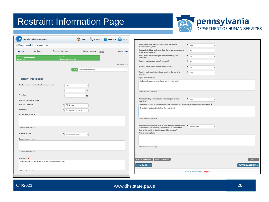#### Restraint Information Page



| <b>EIM</b> Enterprise Incident Management        |                                                                  | HOME SEARCH <b>AREPORTS</b> HELP        |                |
|--------------------------------------------------|------------------------------------------------------------------|-----------------------------------------|----------------|
| <b>•</b> Restraint Information                   |                                                                  |                                         |                |
| Version: 8<br>ID: 88159                          | Type: Individual Incident                                        | Primary Category: Physical<br>Restraint | Status: Open   |
| Individual: PCG-EIMMR, MIKE                      | Provider:                                                        |                                         |                |
| MCI: 927847067                                   | Discovery Date: 11/07/2019                                       |                                         |                |
|                                                  |                                                                  |                                         | Expand Details |
|                                                  | Go To                                                            | Restraint Information                   |                |
| <b>Restraint Information</b>                     |                                                                  |                                         |                |
|                                                  |                                                                  |                                         |                |
| Was the restraint duration less than one minute? | $\star$ Yes                                                      |                                         |                |
| Time In:                                         |                                                                  | 曲                                       |                |
| Time Out:                                        |                                                                  | 单                                       |                |
| <b>Restraint Duration(minutes):</b>              |                                                                  |                                         |                |
| <b>Restraint Technique:</b>                      | Full Nelson                                                      |                                         |                |
| Antecedent:                                      | Communication stress                                             |                                         |                |
| If other, please specify:                        |                                                                  |                                         |                |
|                                                  |                                                                  |                                         |                |
|                                                  |                                                                  |                                         |                |
| 4000 characters remaining                        |                                                                  |                                         |                |
| <b>Restraint Reason:</b>                         | Aggression to staff                                              |                                         |                |
| If other, please specify:                        |                                                                  |                                         |                |
|                                                  |                                                                  |                                         |                |
|                                                  |                                                                  |                                         |                |
| 4000 characters remaining                        |                                                                  |                                         |                |
| <b>Description:</b> ★                            |                                                                  |                                         |                |
|                                                  | The individual was restrained after becoming violent with staff. |                                         |                |
| 3935 characters remaining                        |                                                                  |                                         |                |
|                                                  |                                                                  |                                         |                |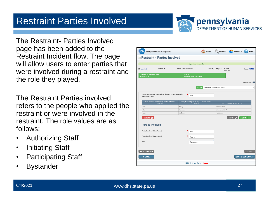The Restraint- Parties Involved page has been added to the Restraint Incident flow. The page will allow users to enter parties that were involved during a restraint and the role they played.

Restraint Parties Involved

The Restraint Parties involved refers to the people who applied the restraint or were involved in the restraint. The role values are as follows:

- Authorizing Staff
- Initiating Staff
- Participating Staff
- Bystander

| <b>EIM</b> Enterprise Incident Management                                                          |                                                                   |                              | HOME SEARCH <b>PEPORTS</b>        | <b>HELP</b>                  |  |  |  |
|----------------------------------------------------------------------------------------------------|-------------------------------------------------------------------|------------------------------|-----------------------------------|------------------------------|--|--|--|
| <b>e</b> Restraint - Parties Involved                                                              |                                                                   |                              |                                   |                              |  |  |  |
|                                                                                                    |                                                                   |                              |                                   |                              |  |  |  |
| <b>Operation Successful</b>                                                                        |                                                                   |                              |                                   |                              |  |  |  |
| Version: 8<br>ID: 88159                                                                            | Type: Individual Incident                                         | <b>Primary Category:</b>     | Physical<br>Restraint             | Status: Open                 |  |  |  |
| Individual: PCG-EIMMR, MIKE<br>MCI: 927847067                                                      | Provider:<br>Discovery Date: 11/07/2019                           |                              |                                   |                              |  |  |  |
|                                                                                                    |                                                                   |                              |                                   | Expand Details               |  |  |  |
|                                                                                                    | Go To                                                             | Restraint - Parties Involved |                                   | v                            |  |  |  |
| Please specify parties involved during the incident (Select<br>★<br>Yes<br>v<br>'Yes' to proceed): |                                                                   |                              |                                   |                              |  |  |  |
| Party Involved (First Name) - Restraint Parties<br>Involved                                        | Party Involved (Last Name) - Restraint Parties<br><b>Involved</b> |                              | Role - Restraint Parties Involved |                              |  |  |  |
| Tom                                                                                                | Brady                                                             | <b>Initiating Staff</b>      |                                   |                              |  |  |  |
| Clay                                                                                               | Mattews                                                           | Authorizing Staff            |                                   |                              |  |  |  |
| Aaron                                                                                              | Rodgers                                                           | Participant                  |                                   |                              |  |  |  |
| DELETE <sub>Q</sub>                                                                                |                                                                   |                              | <b>EDIT</b>                       | <b>ADD</b><br>÷              |  |  |  |
| <b>Parties Involved</b>                                                                            |                                                                   |                              |                                   |                              |  |  |  |
| <b>Party Involved (First Name):</b>                                                                | Ken                                                               |                              |                                   |                              |  |  |  |
| Party Involved (Last Name):                                                                        | Adams                                                             |                              |                                   |                              |  |  |  |
| Role:                                                                                              | Bystander                                                         |                              |                                   |                              |  |  |  |
| <b>UNDO CHANGES</b>                                                                                |                                                                   |                              |                                   | <b>SAVE</b>                  |  |  |  |
| <b>« BACK</b>                                                                                      |                                                                   |                              |                                   | <b>SAVE &amp; CONTINUE »</b> |  |  |  |
|                                                                                                    | HCSIS   Privacy Policy   Logout                                   |                              |                                   |                              |  |  |  |